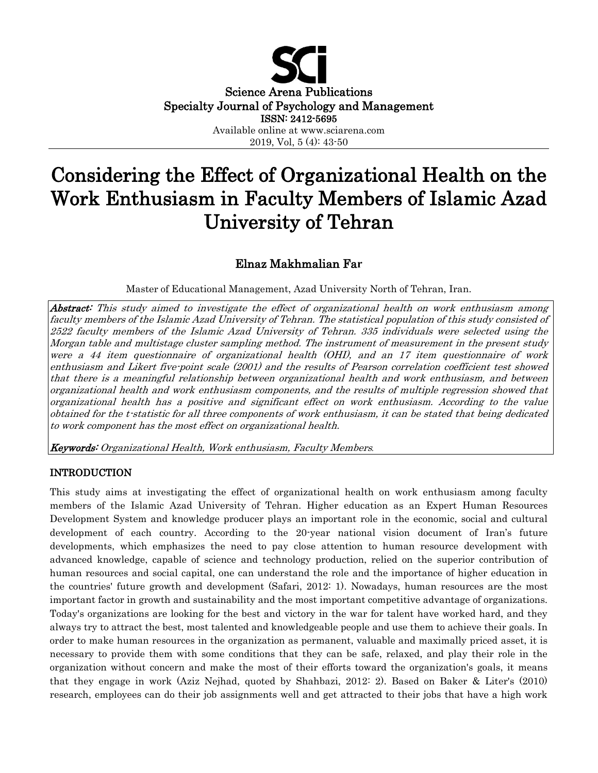

# Considering the Effect of Organizational Health on the Work Enthusiasm in Faculty Members of Islamic Azad University of Tehran

# Elnaz Makhmalian Fa**r**

Master of Educational Management, Azad University North of Tehran, Iran.

Abstract: This study aimed to investigate the effect of organizational health on work enthusiasm among faculty members of the Islamic Azad University of Tehran. The statistical population of this study consisted of 2522 faculty members of the Islamic Azad University of Tehran. 335 individuals were selected using the Morgan table and multistage cluster sampling method. The instrument of measurement in the present study were a 44 item questionnaire of organizational health (OHI), and an 17 item questionnaire of work enthusiasm and Likert five-point scale (2001) and the results of Pearson correlation coefficient test showed that there is a meaningful relationship between organizational health and work enthusiasm, and between organizational health and work enthusiasm components, and the results of multiple regression showed that organizational health has a positive and significant effect on work enthusiasm. According to the value obtained for the t-statistic for all three components of work enthusiasm, it can be stated that being dedicated to work component has the most effect on organizational health.

Keywords: Organizational Health, Work enthusiasm, Faculty Members*.*

# INTRODUCTION

This study aims at investigating the effect of organizational health on work enthusiasm among faculty members of the Islamic Azad University of Tehran. Higher education as an Expert Human Resources Development System and knowledge producer plays an important role in the economic, social and cultural development of each country. According to the 20-year national vision document of Iran's future developments, which emphasizes the need to pay close attention to human resource development with advanced knowledge, capable of science and technology production, relied on the superior contribution of human resources and social capital, one can understand the role and the importance of higher education in the countries' future growth and development (Safari, 2012: 1). Nowadays, human resources are the most important factor in growth and sustainability and the most important competitive advantage of organizations. Today's organizations are looking for the best and victory in the war for talent have worked hard, and they always try to attract the best, most talented and knowledgeable people and use them to achieve their goals. In order to make human resources in the organization as permanent, valuable and maximally priced asset, it is necessary to provide them with some conditions that they can be safe, relaxed, and play their role in the organization without concern and make the most of their efforts toward the organization's goals, it means that they engage in work (Aziz Nejhad, quoted by Shahbazi, 2012: 2). Based on Baker & Liter's (2010) research, employees can do their job assignments well and get attracted to their jobs that have a high work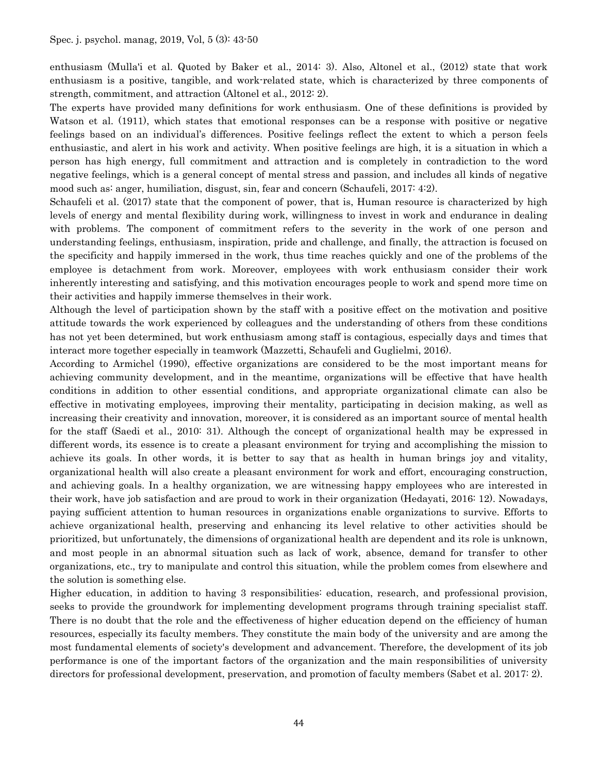enthusiasm (Mulla'i et al. Quoted by Baker et al., 2014: 3). Also, Altonel et al., (2012) state that work enthusiasm is a positive, tangible, and work-related state, which is characterized by three components of strength, commitment, and attraction (Altonel et al., 2012: 2).

The experts have provided many definitions for work enthusiasm. One of these definitions is provided by Watson et al. (1911), which states that emotional responses can be a response with positive or negative feelings based on an individual's differences. Positive feelings reflect the extent to which a person feels enthusiastic, and alert in his work and activity. When positive feelings are high, it is a situation in which a person has high energy, full commitment and attraction and is completely in contradiction to the word negative feelings, which is a general concept of mental stress and passion, and includes all kinds of negative mood such as: anger, humiliation, disgust, sin, fear and concern (Schaufeli, 2017: 4:2).

Schaufeli et al. (2017) state that the component of power, that is, Human resource is characterized by high levels of energy and mental flexibility during work, willingness to invest in work and endurance in dealing with problems. The component of commitment refers to the severity in the work of one person and understanding feelings, enthusiasm, inspiration, pride and challenge, and finally, the attraction is focused on the specificity and happily immersed in the work, thus time reaches quickly and one of the problems of the employee is detachment from work. Moreover, employees with work enthusiasm consider their work inherently interesting and satisfying, and this motivation encourages people to work and spend more time on their activities and happily immerse themselves in their work.

Although the level of participation shown by the staff with a positive effect on the motivation and positive attitude towards the work experienced by colleagues and the understanding of others from these conditions has not yet been determined, but work enthusiasm among staff is contagious, especially days and times that interact more together especially in teamwork (Mazzetti, Schaufeli and Guglielmi, 2016).

According to Armichel (1990), effective organizations are considered to be the most important means for achieving community development, and in the meantime, organizations will be effective that have health conditions in addition to other essential conditions, and appropriate organizational climate can also be effective in motivating employees, improving their mentality, participating in decision making, as well as increasing their creativity and innovation, moreover, it is considered as an important source of mental health for the staff (Saedi et al., 2010: 31). Although the concept of organizational health may be expressed in different words, its essence is to create a pleasant environment for trying and accomplishing the mission to achieve its goals. In other words, it is better to say that as health in human brings joy and vitality, organizational health will also create a pleasant environment for work and effort, encouraging construction, and achieving goals. In a healthy organization, we are witnessing happy employees who are interested in their work, have job satisfaction and are proud to work in their organization (Hedayati, 2016: 12). Nowadays, paying sufficient attention to human resources in organizations enable organizations to survive. Efforts to achieve organizational health, preserving and enhancing its level relative to other activities should be prioritized, but unfortunately, the dimensions of organizational health are dependent and its role is unknown, and most people in an abnormal situation such as lack of work, absence, demand for transfer to other organizations, etc., try to manipulate and control this situation, while the problem comes from elsewhere and the solution is something else.

Higher education, in addition to having 3 responsibilities: education, research, and professional provision, seeks to provide the groundwork for implementing development programs through training specialist staff. There is no doubt that the role and the effectiveness of higher education depend on the efficiency of human resources, especially its faculty members. They constitute the main body of the university and are among the most fundamental elements of society's development and advancement. Therefore, the development of its job performance is one of the important factors of the organization and the main responsibilities of university directors for professional development, preservation, and promotion of faculty members (Sabet et al. 2017: 2).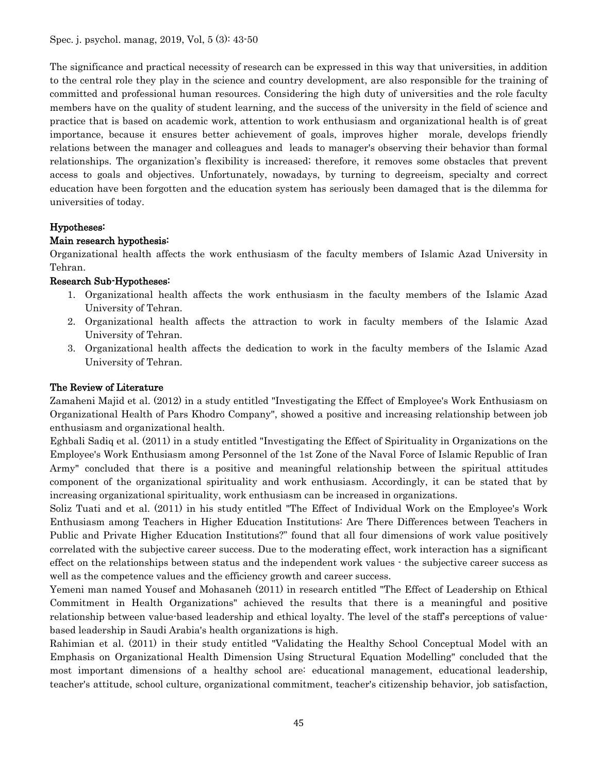The significance and practical necessity of research can be expressed in this way that universities, in addition to the central role they play in the science and country development, are also responsible for the training of committed and professional human resources. Considering the high duty of universities and the role faculty members have on the quality of student learning, and the success of the university in the field of science and practice that is based on academic work, attention to work enthusiasm and organizational health is of great importance, because it ensures better achievement of goals, improves higher morale, develops friendly relations between the manager and colleagues and leads to manager's observing their behavior than formal relationships. The organization's flexibility is increased; therefore, it removes some obstacles that prevent access to goals and objectives. Unfortunately, nowadays, by turning to degreeism, specialty and correct education have been forgotten and the education system has seriously been damaged that is the dilemma for universities of today.

# Hypotheses:

# Main research hypothesis:

Organizational health affects the work enthusiasm of the faculty members of Islamic Azad University in Tehran.

### Research Sub-Hypotheses:

- 1. Organizational health affects the work enthusiasm in the faculty members of the Islamic Azad University of Tehran.
- 2. Organizational health affects the attraction to work in faculty members of the Islamic Azad University of Tehran.
- 3. Organizational health affects the dedication to work in the faculty members of the Islamic Azad University of Tehran.

#### The Review of Literature

Zamaheni Majid et al. (2012) in a study entitled "Investigating the Effect of Employee's Work Enthusiasm on Organizational Health of Pars Khodro Company", showed a positive and increasing relationship between job enthusiasm and organizational health.

Eghbali Sadiq et al. (2011) in a study entitled "Investigating the Effect of Spirituality in Organizations on the Employee's Work Enthusiasm among Personnel of the 1st Zone of the Naval Force of Islamic Republic of Iran Army" concluded that there is a positive and meaningful relationship between the spiritual attitudes component of the organizational spirituality and work enthusiasm. Accordingly, it can be stated that by increasing organizational spirituality, work enthusiasm can be increased in organizations.

Soliz Tuati and et al. (2011) in his study entitled "The Effect of Individual Work on the Employee's Work Enthusiasm among Teachers in Higher Education Institutions: Are There Differences between Teachers in Public and Private Higher Education Institutions?" found that all four dimensions of work value positively correlated with the subjective career success. Due to the moderating effect, work interaction has a significant effect on the relationships between status and the independent work values - the subjective career success as well as the competence values and the efficiency growth and career success.

Yemeni man named Yousef and Mohasaneh (2011) in research entitled "The Effect of Leadership on Ethical Commitment in Health Organizations" achieved the results that there is a meaningful and positive relationship between value-based leadership and ethical loyalty. The level of the staff's perceptions of valuebased leadership in Saudi Arabia's health organizations is high.

Rahimian et al. (2011) in their study entitled "Validating the Healthy School Conceptual Model with an Emphasis on Organizational Health Dimension Using Structural Equation Modelling" concluded that the most important dimensions of a healthy school are: educational management, educational leadership, teacher's attitude, school culture, organizational commitment, teacher's citizenship behavior, job satisfaction,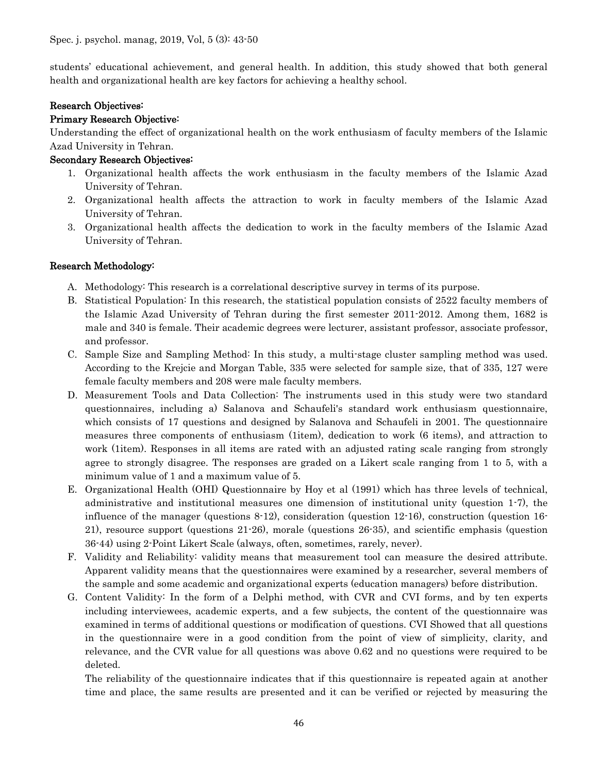students' educational achievement, and general health. In addition, this study showed that both general health and organizational health are key factors for achieving a healthy school.

#### Research Objectives:

# Primary Research Objective:

Understanding the effect of organizational health on the work enthusiasm of faculty members of the Islamic Azad University in Tehran.

### Secondary Research Objectives:

- 1. Organizational health affects the work enthusiasm in the faculty members of the Islamic Azad University of Tehran.
- 2. Organizational health affects the attraction to work in faculty members of the Islamic Azad University of Tehran.
- 3. Organizational health affects the dedication to work in the faculty members of the Islamic Azad University of Tehran.

### Research Methodology:

- A. Methodology: This research is a correlational descriptive survey in terms of its purpose.
- B. Statistical Population: In this research, the statistical population consists of 2522 faculty members of the Islamic Azad University of Tehran during the first semester 2011-2012. Among them, 1682 is male and 340 is female. Their academic degrees were lecturer, assistant professor, associate professor, and professor.
- C. Sample Size and Sampling Method: In this study, a multi-stage cluster sampling method was used. According to the Krejcie and Morgan Table, 335 were selected for sample size, that of 335, 127 were female faculty members and 208 were male faculty members.
- D. Measurement Tools and Data Collection: The instruments used in this study were two standard questionnaires, including a) Salanova and Schaufeli's standard work enthusiasm questionnaire, which consists of 17 questions and designed by Salanova and Schaufeli in 2001. The questionnaire measures three components of enthusiasm (1item), dedication to work (6 items), and attraction to work (1item). Responses in all items are rated with an adjusted rating scale ranging from strongly agree to strongly disagree. The responses are graded on a Likert scale ranging from 1 to 5, with a minimum value of 1 and a maximum value of 5.
- E. Organizational Health (OHI) Questionnaire by Hoy et al (1991) which has three levels of technical, administrative and institutional measures one dimension of institutional unity (question 1-7), the influence of the manager (questions 8-12), consideration (question 12-16), construction (question 16- 21), resource support (questions 21-26), morale (questions 26-35), and scientific emphasis (question 36-44) using 2-Point Likert Scale (always, often, sometimes, rarely, never).
- F. Validity and Reliability: validity means that measurement tool can measure the desired attribute. Apparent validity means that the questionnaires were examined by a researcher, several members of the sample and some academic and organizational experts (education managers) before distribution.
- G. Content Validity: In the form of a Delphi method, with CVR and CVI forms, and by ten experts including interviewees, academic experts, and a few subjects, the content of the questionnaire was examined in terms of additional questions or modification of questions. CVI Showed that all questions in the questionnaire were in a good condition from the point of view of simplicity, clarity, and relevance, and the CVR value for all questions was above 0.62 and no questions were required to be deleted.

The reliability of the questionnaire indicates that if this questionnaire is repeated again at another time and place, the same results are presented and it can be verified or rejected by measuring the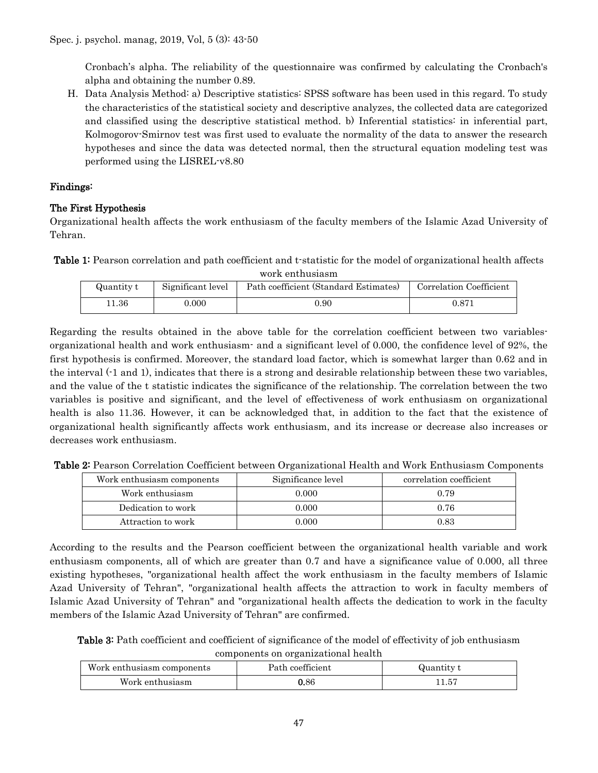Cronbach's alpha. The reliability of the questionnaire was confirmed by calculating the Cronbach's alpha and obtaining the number 0.89.

H. Data Analysis Method: a) Descriptive statistics: SPSS software has been used in this regard. To study the characteristics of the statistical society and descriptive analyzes, the collected data are categorized and classified using the descriptive statistical method. b) Inferential statistics: in inferential part, Kolmogorov-Smirnov test was first used to evaluate the normality of the data to answer the research hypotheses and since the data was detected normal, then the structural equation modeling test was performed using the LISREL-v8.80

# Findings:

# The First Hypothesis

Organizational health affects the work enthusiasm of the faculty members of the Islamic Azad University of Tehran.

Table 1: Pearson correlation and path coefficient and t-statistic for the model of organizational health affects

| work enthusiasm |                   |                                       |                         |  |  |  |
|-----------------|-------------------|---------------------------------------|-------------------------|--|--|--|
| Quantity t      | Significant level | Path coefficient (Standard Estimates) | Correlation Coefficient |  |  |  |
| 11.36           | 0.000             | 0.90                                  | 0.871                   |  |  |  |

Regarding the results obtained in the above table for the correlation coefficient between two variablesorganizational health and work enthusiasm- and a significant level of 0.000, the confidence level of 92%, the first hypothesis is confirmed. Moreover, the standard load factor, which is somewhat larger than 0.62 and in the interval (-1 and 1), indicates that there is a strong and desirable relationship between these two variables, and the value of the t statistic indicates the significance of the relationship. The correlation between the two variables is positive and significant, and the level of effectiveness of work enthusiasm on organizational health is also 11.36. However, it can be acknowledged that, in addition to the fact that the existence of organizational health significantly affects work enthusiasm, and its increase or decrease also increases or decreases work enthusiasm.

| Table 2: Pearson Correlation Coefficient between Organizational Health and Work Enthusiasm Components |  |
|-------------------------------------------------------------------------------------------------------|--|
|-------------------------------------------------------------------------------------------------------|--|

| Work enthusiasm components | Significance level | correlation coefficient |
|----------------------------|--------------------|-------------------------|
| Work enthusiasm            | 0.000              | 0.79                    |
| Dedication to work         | 0.000              | 0.76                    |
| Attraction to work         | 0.000              | 0.83                    |

According to the results and the Pearson coefficient between the organizational health variable and work enthusiasm components, all of which are greater than 0.7 and have a significance value of 0.000, all three existing hypotheses, "organizational health affect the work enthusiasm in the faculty members of Islamic Azad University of Tehran", "organizational health affects the attraction to work in faculty members of Islamic Azad University of Tehran" and "organizational health affects the dedication to work in the faculty members of the Islamic Azad University of Tehran" are confirmed.

Table 3: Path coefficient and coefficient of significance of the model of effectivity of job enthusiasm components on organizational health

| Work enthusiasm components | Path coefficient | Quantity t |
|----------------------------|------------------|------------|
| Work enthusiasm            | $0.86\,$         | 11.57      |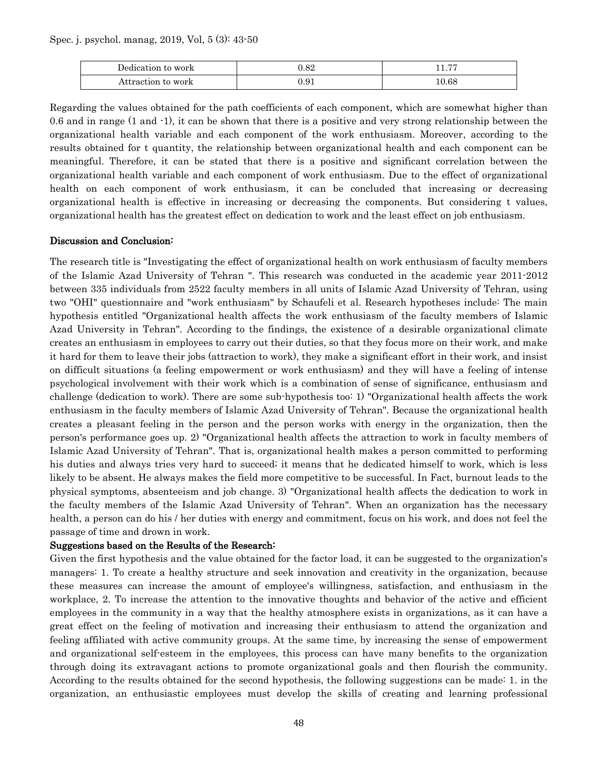Spec. j. psychol. manag, 2019, Vol, 5 (3): 43-50

| $-1$ .<br>Dedication to work | ${0.82}$   | $\overline{a}$<br>11.II |
|------------------------------|------------|-------------------------|
| Attraction to work           | $\rm 0.91$ | $10.68\,$               |

Regarding the values obtained for the path coefficients of each component, which are somewhat higher than 0.6 and in range (1 and -1), it can be shown that there is a positive and very strong relationship between the organizational health variable and each component of the work enthusiasm. Moreover, according to the results obtained for t quantity, the relationship between organizational health and each component can be meaningful. Therefore, it can be stated that there is a positive and significant correlation between the organizational health variable and each component of work enthusiasm. Due to the effect of organizational health on each component of work enthusiasm, it can be concluded that increasing or decreasing organizational health is effective in increasing or decreasing the components. But considering t values, organizational health has the greatest effect on dedication to work and the least effect on job enthusiasm.

#### Discussion and Conclusion:

The research title is "Investigating the effect of organizational health on work enthusiasm of faculty members of the Islamic Azad University of Tehran ". This research was conducted in the academic year 2011-2012 between 335 individuals from 2522 faculty members in all units of Islamic Azad University of Tehran, using two "OHI" questionnaire and "work enthusiasm" by Schaufeli et al. Research hypotheses include: The main hypothesis entitled "Organizational health affects the work enthusiasm of the faculty members of Islamic Azad University in Tehran". According to the findings, the existence of a desirable organizational climate creates an enthusiasm in employees to carry out their duties, so that they focus more on their work, and make it hard for them to leave their jobs (attraction to work), they make a significant effort in their work, and insist on difficult situations (a feeling empowerment or work enthusiasm) and they will have a feeling of intense psychological involvement with their work which is a combination of sense of significance, enthusiasm and challenge (dedication to work). There are some sub-hypothesis too: 1) "Organizational health affects the work enthusiasm in the faculty members of Islamic Azad University of Tehran". Because the organizational health creates a pleasant feeling in the person and the person works with energy in the organization, then the person's performance goes up. 2) "Organizational health affects the attraction to work in faculty members of Islamic Azad University of Tehran". That is, organizational health makes a person committed to performing his duties and always tries very hard to succeed; it means that he dedicated himself to work, which is less likely to be absent. He always makes the field more competitive to be successful. In Fact, burnout leads to the physical symptoms, absenteeism and job change. 3) "Organizational health affects the dedication to work in the faculty members of the Islamic Azad University of Tehran". When an organization has the necessary health, a person can do his / her duties with energy and commitment, focus on his work, and does not feel the passage of time and drown in work.

#### Suggestions based on the Results of the Research:

Given the first hypothesis and the value obtained for the factor load, it can be suggested to the organization's managers: 1. To create a healthy structure and seek innovation and creativity in the organization, because these measures can increase the amount of employee's willingness, satisfaction, and enthusiasm in the workplace, 2. To increase the attention to the innovative thoughts and behavior of the active and efficient employees in the community in a way that the healthy atmosphere exists in organizations, as it can have a great effect on the feeling of motivation and increasing their enthusiasm to attend the organization and feeling affiliated with active community groups. At the same time, by increasing the sense of empowerment and organizational self-esteem in the employees, this process can have many benefits to the organization through doing its extravagant actions to promote organizational goals and then flourish the community. According to the results obtained for the second hypothesis, the following suggestions can be made: 1. in the organization, an enthusiastic employees must develop the skills of creating and learning professional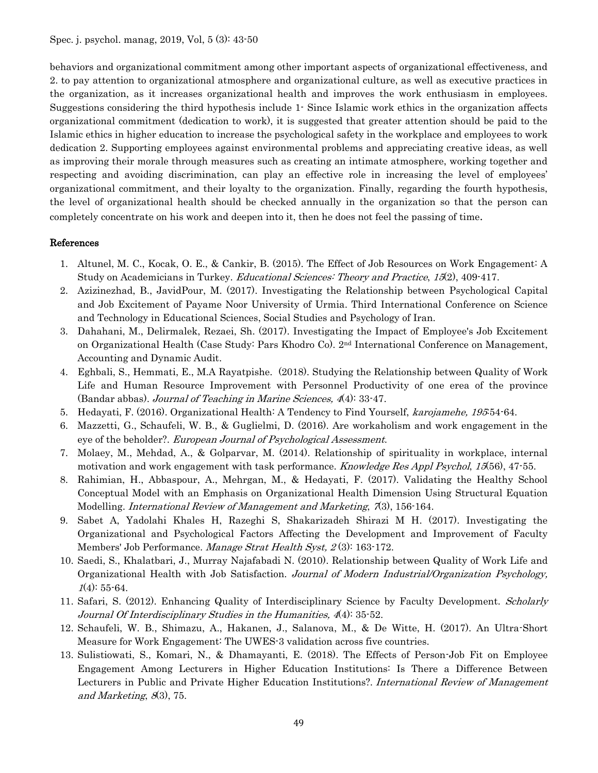behaviors and organizational commitment among other important aspects of organizational effectiveness, and 2. to pay attention to organizational atmosphere and organizational culture, as well as executive practices in the organization, as it increases organizational health and improves the work enthusiasm in employees. Suggestions considering the third hypothesis include 1- Since Islamic work ethics in the organization affects organizational commitment (dedication to work), it is suggested that greater attention should be paid to the Islamic ethics in higher education to increase the psychological safety in the workplace and employees to work dedication 2. Supporting employees against environmental problems and appreciating creative ideas, as well as improving their morale through measures such as creating an intimate atmosphere, working together and respecting and avoiding discrimination, can play an effective role in increasing the level of employees' organizational commitment, and their loyalty to the organization. Finally, regarding the fourth hypothesis, the level of organizational health should be checked annually in the organization so that the person can completely concentrate on his work and deepen into it, then he does not feel the passing of time.

#### References

- 1. Altunel, M. C., Kocak, O. E., & Cankir, B. (2015). The Effect of Job Resources on Work Engagement: A Study on Academicians in Turkey. Educational Sciences: Theory and Practice, 15(2), 409-417.
- 2. Azizinezhad, B., JavidPour, M. (2017). Investigating the Relationship between Psychological Capital and Job Excitement of Payame Noor University of Urmia. Third International Conference on Science and Technology in Educational Sciences, Social Studies and Psychology of Iran.
- 3. Dahahani, M., Delirmalek, Rezaei, Sh. (2017). Investigating the Impact of Employee's Job Excitement on Organizational Health (Case Study: Pars Khodro Co). 2nd International Conference on Management, Accounting and Dynamic Audit.
- 4. Eghbali, S., Hemmati, E., M.A Rayatpishe. (2018). Studying the Relationship between Quality of Work Life and Human Resource Improvement with Personnel Productivity of one erea of the province (Bandar abbas). Journal of Teaching in Marine Sciences, 4(4): 33-47.
- 5. Hedayati, F. (2016). Organizational Health: A Tendency to Find Yourself, karojamehe, 195:54-64.
- 6. Mazzetti, G., Schaufeli, W. B., & Guglielmi, D. (2016). Are workaholism and work engagement in the eye of the beholder?. European Journal of Psychological Assessment.
- 7. Molaey, M., Mehdad, A., & Golparvar, M. (2014). Relationship of spirituality in workplace, internal motivation and work engagement with task performance. Knowledge Res Appl Psychol, 15(56), 47-55.
- 8. Rahimian, H., Abbaspour, A., Mehrgan, M., & Hedayati, F. (2017). Validating the Healthy School Conceptual Model with an Emphasis on Organizational Health Dimension Using Structural Equation Modelling. International Review of Management and Marketing, 73, 156-164.
- 9. Sabet A, Yadolahi Khales H, Razeghi S, Shakarizadeh Shirazi M H. (2017). Investigating the Organizational and Psychological Factors Affecting the Development and Improvement of Faculty Members' Job Performance. Manage Strat Health Syst, 2(3): 163-172.
- 10. Saedi, S., Khalatbari, J., Murray Najafabadi N. (2010). Relationship between Quality of Work Life and Organizational Health with Job Satisfaction. Journal of Modern Industrial/Organization Psychology,  $1(4): 55-64.$
- 11. Safari, S. (2012). Enhancing Quality of Interdisciplinary Science by Faculty Development. Scholarly Journal Of Interdisciplinary Studies in the Humanities, 4(4): 35-52.
- 12. Schaufeli, W. B., Shimazu, A., Hakanen, J., Salanova, M., & De Witte, H. (2017). An Ultra-Short Measure for Work Engagement: The UWES-3 validation across five countries.
- 13. Sulistiowati, S., Komari, N., & Dhamayanti, E. (2018). The Effects of Person-Job Fit on Employee Engagement Among Lecturers in Higher Education Institutions: Is There a Difference Between Lecturers in Public and Private Higher Education Institutions?. International Review of Management and Marketing,  $8(3)$ , 75.